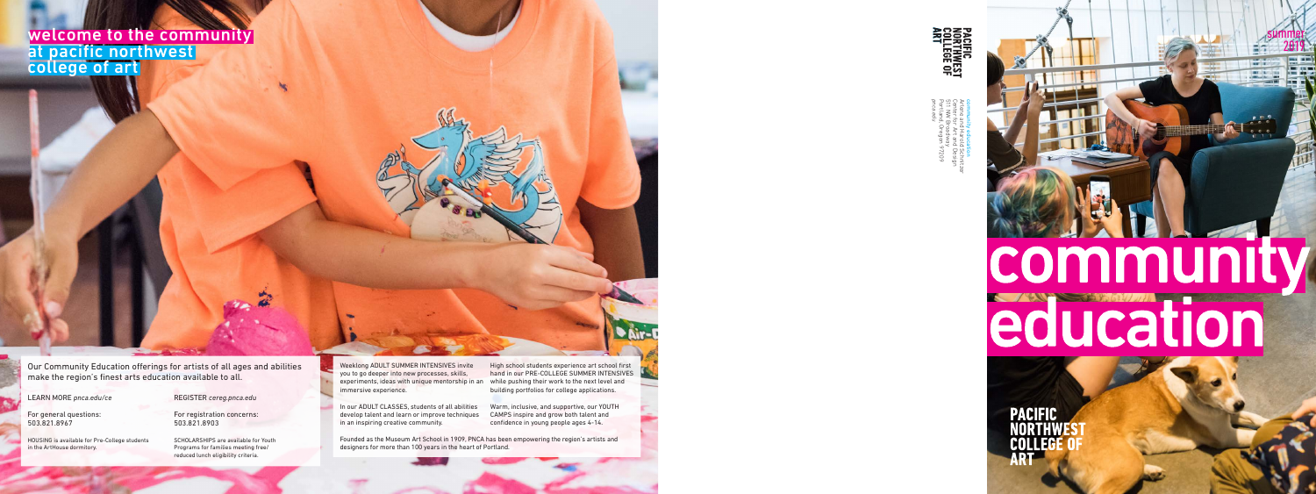

# community education

**PACIFIC NORTHW** COLLEG ART



*pnca.edu* Arlene and Harold Schnitzer Portland, Oregon 97209 511 NW Broadway Center for Art and Design community education old Sch<br>Ind Des<br>Vay<br>In 9720

Our Community Education offerings for artists of all ages and abilities make the region's finest arts education available to all.

#### LEARN MORE *pnca.edu/ce*

For general questions: 503.821.8967

HOUSING is available for Pre-College students in the ArtHouse dormitory.

REGISTER *cereg.pnca.edu*

For registration concerns: 503.821.8903

SCHOLARSHIPS are available for Youth Programs for families meeting free/ reduced lunch eligibility criteria.

Weeklong ADULT SUMMER INTENSIVES invite you to go deeper into new processes, skills, experiments, ideas with unique mentorship in an immersive experience.

In our ADULT CLASSES, students of all abilities develop talent and learn or improve techniques in an inspiring creative community.

High school students experience art school first hand in our PRE-COLLEGE SUMMER INTENSIVES while pushing their work to the next level and building portfolios for college applications.

Warm, inclusive, and supportive, our YOUTH CAMPS inspire and grow both talent and confidence in young people ages 4-14.

Founded as the Museum Art School in 1909, PNCA has been empowering the region's artists and designers for more than 100 years in the heart of Portland.

welcome to the community at pacific northwest college of art